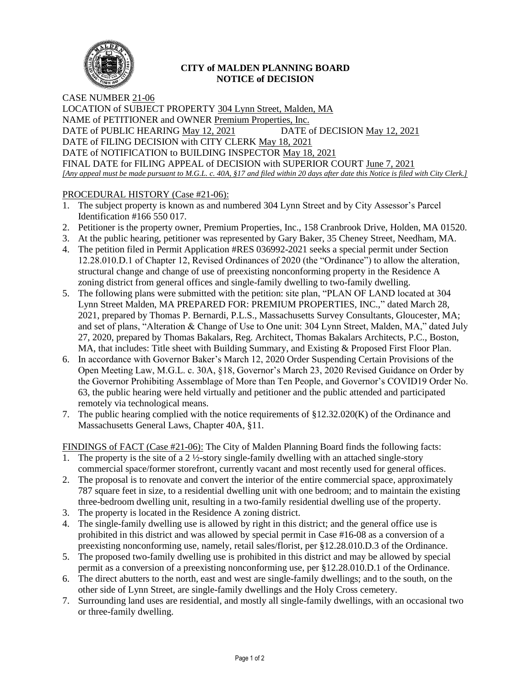

## **CITY of MALDEN PLANNING BOARD NOTICE of DECISION**

CASE NUMBER 21-06 LOCATION of SUBJECT PROPERTY 304 Lynn Street, Malden, MA NAME of PETITIONER and OWNER Premium Properties, Inc. DATE of PUBLIC HEARING May 12, 2021 DATE of DECISION May 12, 2021 DATE of FILING DECISION with CITY CLERK May 18, 2021 DATE of NOTIFICATION to BUILDING INSPECTOR May 18, 2021 FINAL DATE for FILING APPEAL of DECISION with SUPERIOR COURT June 7, 2021 *[Any appeal must be made pursuant to M.G.L. c. 40A, §17 and filed within 20 days after date this Notice is filed with City Clerk.]* 

## PROCEDURAL HISTORY (Case #21-06):

- 1. The subject property is known as and numbered 304 Lynn Street and by City Assessor's Parcel Identification #166 550 017.
- 2. Petitioner is the property owner, Premium Properties, Inc., 158 Cranbrook Drive, Holden, MA 01520.
- 3. At the public hearing, petitioner was represented by Gary Baker, 35 Cheney Street, Needham, MA.
- 4. The petition filed in Permit Application #RES 036992-2021 seeks a special permit under Section 12.28.010.D.1 of Chapter 12, Revised Ordinances of 2020 (the "Ordinance") to allow the alteration, structural change and change of use of preexisting nonconforming property in the Residence A zoning district from general offices and single-family dwelling to two-family dwelling.
- 5. The following plans were submitted with the petition: site plan, "PLAN OF LAND located at 304 Lynn Street Malden, MA PREPARED FOR: PREMIUM PROPERTIES, INC.," dated March 28, 2021, prepared by Thomas P. Bernardi, P.L.S., Massachusetts Survey Consultants, Gloucester, MA; and set of plans, "Alteration & Change of Use to One unit: 304 Lynn Street, Malden, MA," dated July 27, 2020, prepared by Thomas Bakalars, Reg. Architect, Thomas Bakalars Architects, P.C., Boston, MA, that includes: Title sheet with Building Summary, and Existing & Proposed First Floor Plan.
- 6. In accordance with Governor Baker's March 12, 2020 Order Suspending Certain Provisions of the Open Meeting Law, M.G.L. c. 30A, §18, Governor's March 23, 2020 Revised Guidance on Order by the Governor Prohibiting Assemblage of More than Ten People, and Governor's COVID19 Order No. 63, the public hearing were held virtually and petitioner and the public attended and participated remotely via technological means.
- 7. The public hearing complied with the notice requirements of §12.32.020(K) of the Ordinance and Massachusetts General Laws, Chapter 40A, §11.

FINDINGS of FACT (Case #21-06): The City of Malden Planning Board finds the following facts:

- 1. The property is the site of a 2  $\frac{1}{2}$ -story single-family dwelling with an attached single-story commercial space/former storefront, currently vacant and most recently used for general offices.
- 2. The proposal is to renovate and convert the interior of the entire commercial space, approximately 787 square feet in size, to a residential dwelling unit with one bedroom; and to maintain the existing three-bedroom dwelling unit, resulting in a two-family residential dwelling use of the property.
- 3. The property is located in the Residence A zoning district.
- 4. The single-family dwelling use is allowed by right in this district; and the general office use is prohibited in this district and was allowed by special permit in Case #16-08 as a conversion of a preexisting nonconforming use, namely, retail sales/florist, per §12.28.010.D.3 of the Ordinance.
- 5. The proposed two-family dwelling use is prohibited in this district and may be allowed by special permit as a conversion of a preexisting nonconforming use, per §12.28.010.D.1 of the Ordinance.
- 6. The direct abutters to the north, east and west are single-family dwellings; and to the south, on the other side of Lynn Street, are single-family dwellings and the Holy Cross cemetery.
- 7. Surrounding land uses are residential, and mostly all single-family dwellings, with an occasional two or three-family dwelling.